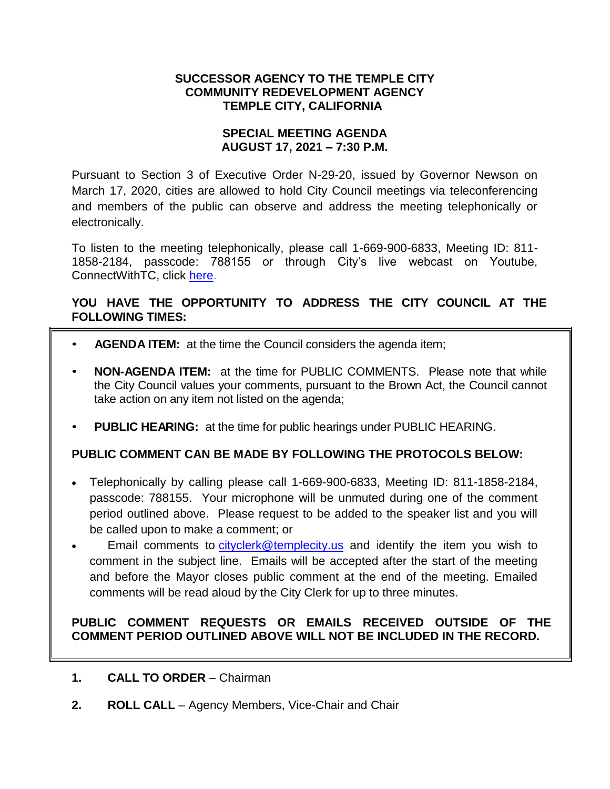# **SUCCESSOR AGENCY TO THE TEMPLE CITY COMMUNITY REDEVELOPMENT AGENCY TEMPLE CITY, CALIFORNIA**

## **SPECIAL MEETING AGENDA AUGUST 17, 2021 – 7:30 P.M.**

Pursuant to Section 3 of Executive Order N-29-20, issued by Governor Newson on March 17, 2020, cities are allowed to hold City Council meetings via teleconferencing and members of the public can observe and address the meeting telephonically or electronically.

To listen to the meeting telephonically, please call 1-669-900-6833, Meeting ID: 811- 1858-2184, passcode: 788155 or through City's live webcast on Youtube, ConnectWithTC, click [here.](https://www.ci.temple-city.ca.us/516/Meeting-Webcast)

# **YOU HAVE THE OPPORTUNITY TO ADDRESS THE CITY COUNCIL AT THE FOLLOWING TIMES:**

- **AGENDA ITEM:** at the time the Council considers the agenda item;
- **NON-AGENDA ITEM:** at the time for PUBLIC COMMENTS. Please note that while the City Council values your comments, pursuant to the Brown Act, the Council cannot take action on any item not listed on the agenda;
- **PUBLIC HEARING:** at the time for public hearings under PUBLIC HEARING.

# **PUBLIC COMMENT CAN BE MADE BY FOLLOWING THE PROTOCOLS BELOW:**

- Telephonically by calling please call 1-669-900-6833, Meeting ID: 811-1858-2184, passcode: 788155. Your microphone will be unmuted during one of the comment period outlined above. Please request to be added to the speaker list and you will be called upon to make a comment; or
- Email comments to [cityclerk@templecity.us](mailto:cityclerk@templecity.us) and identify the item you wish to comment in the subject line. Emails will be accepted after the start of the meeting and before the Mayor closes public comment at the end of the meeting. Emailed comments will be read aloud by the City Clerk for up to three minutes.

# **PUBLIC COMMENT REQUESTS OR EMAILS RECEIVED OUTSIDE OF THE COMMENT PERIOD OUTLINED ABOVE WILL NOT BE INCLUDED IN THE RECORD.**

- **1. CALL TO ORDER** Chairman
- **2. ROLL CALL**  Agency Members, Vice-Chair and Chair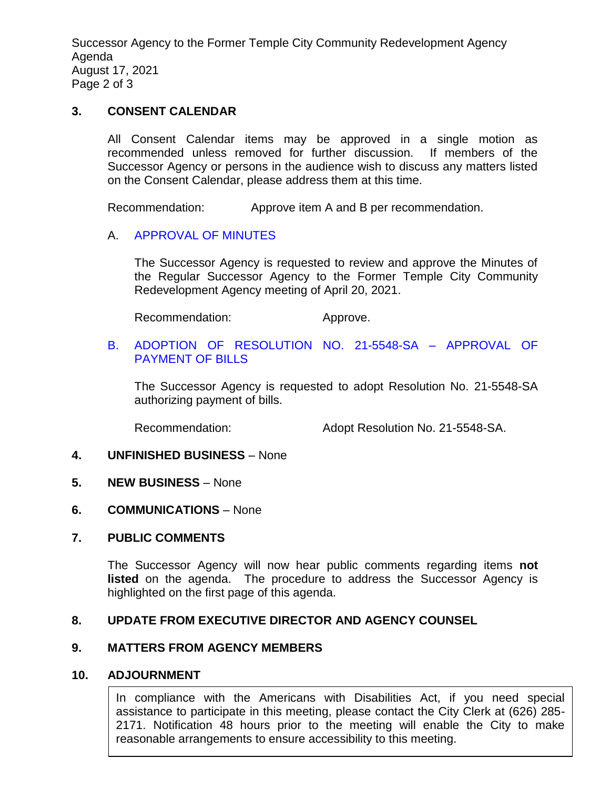Successor Agency to the Former Temple City Community Redevelopment Agency Agenda August 17, 2021 Page 2 of 3

### **3. CONSENT CALENDAR**

All Consent Calendar items may be approved in a single motion as recommended unless removed for further discussion. If members of the Successor Agency or persons in the audience wish to discuss any matters listed on the Consent Calendar, please address them at this time.

Recommendation: Approve item A and B per recommendation.

## A. [APPROVAL OF MINUTES](https://www.ci.temple-city.ca.us/DocumentCenter/View/16632/3A_SAM--2021-04-20)

The Successor Agency is requested to review and approve the Minutes of the Regular Successor Agency to the Former Temple City Community Redevelopment Agency meeting of April 20, 2021.

Recommendation: Approve.

### B. [ADOPTION OF RESOLUTION NO. 21-5548-SA –](https://www.ci.temple-city.ca.us/DocumentCenter/View/16631/3B_Reso-No-21-5548-SA-81721---Warrants--Demands-FY-2021-22-FINAL) APPROVAL OF [PAYMENT OF BILLS](https://www.ci.temple-city.ca.us/DocumentCenter/View/16631/3B_Reso-No-21-5548-SA-81721---Warrants--Demands-FY-2021-22-FINAL)

The Successor Agency is requested to adopt Resolution No. 21-5548-SA authorizing payment of bills.

Recommendation: Adopt Resolution No. 21-5548-SA.

### **4. UNFINISHED BUSINESS** – None

- **5. NEW BUSINESS** None
- **6. COMMUNICATIONS** None

## **7. PUBLIC COMMENTS**

The Successor Agency will now hear public comments regarding items **not listed** on the agenda. The procedure to address the Successor Agency is highlighted on the first page of this agenda.

# **8. UPDATE FROM EXECUTIVE DIRECTOR AND AGENCY COUNSEL**

### **9. MATTERS FROM AGENCY MEMBERS**

### **10. ADJOURNMENT**

In compliance with the Americans with Disabilities Act, if you need special assistance to participate in this meeting, please contact the City Clerk at (626) 285- 2171. Notification 48 hours prior to the meeting will enable the City to make reasonable arrangements to ensure accessibility to this meeting.